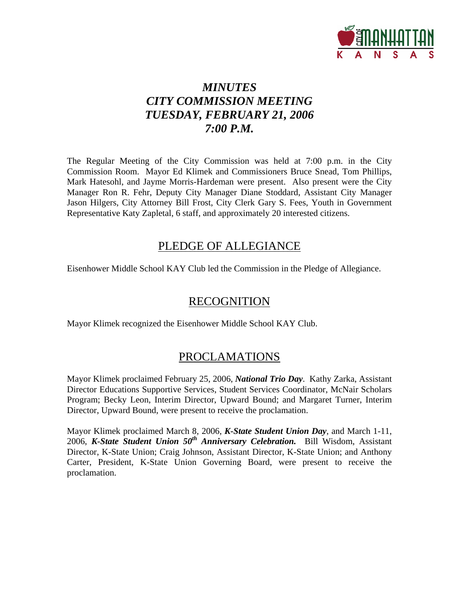

# *MINUTES CITY COMMISSION MEETING TUESDAY, FEBRUARY 21, 2006 7:00 P.M.*

The Regular Meeting of the City Commission was held at 7:00 p.m. in the City Commission Room. Mayor Ed Klimek and Commissioners Bruce Snead, Tom Phillips, Mark Hatesohl, and Jayme Morris-Hardeman were present. Also present were the City Manager Ron R. Fehr, Deputy City Manager Diane Stoddard, Assistant City Manager Jason Hilgers, City Attorney Bill Frost, City Clerk Gary S. Fees, Youth in Government Representative Katy Zapletal, 6 staff, and approximately 20 interested citizens.

## PLEDGE OF ALLEGIANCE

Eisenhower Middle School KAY Club led the Commission in the Pledge of Allegiance.

## RECOGNITION

Mayor Klimek recognized the Eisenhower Middle School KAY Club.

# PROCLAMATIONS

Mayor Klimek proclaimed February 25, 2006, *National Trio Day*. Kathy Zarka, Assistant Director Educations Supportive Services, Student Services Coordinator, McNair Scholars Program; Becky Leon, Interim Director, Upward Bound; and Margaret Turner, Interim Director, Upward Bound, were present to receive the proclamation.

Mayor Klimek proclaimed March 8, 2006, *K-State Student Union Day*, and March 1-11, 2006, *K-State Student Union 50<sup>th</sup> Anniversary Celebration.* Bill Wisdom, Assistant Director, K-State Union; Craig Johnson, Assistant Director, K-State Union; and Anthony Carter, President, K-State Union Governing Board, were present to receive the proclamation.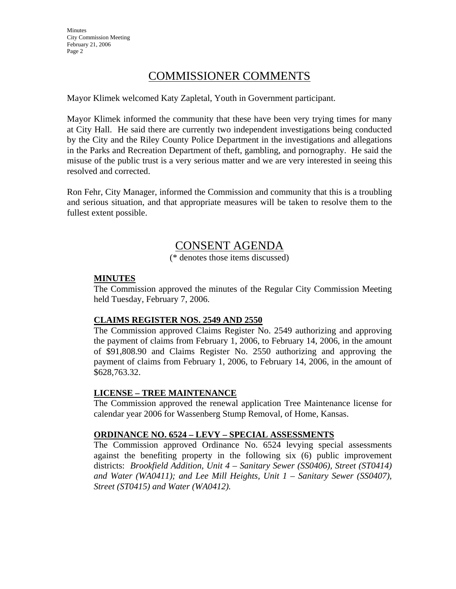## COMMISSIONER COMMENTS

Mayor Klimek welcomed Katy Zapletal, Youth in Government participant.

Mayor Klimek informed the community that these have been very trying times for many at City Hall. He said there are currently two independent investigations being conducted by the City and the Riley County Police Department in the investigations and allegations in the Parks and Recreation Department of theft, gambling, and pornography. He said the misuse of the public trust is a very serious matter and we are very interested in seeing this resolved and corrected.

Ron Fehr, City Manager, informed the Commission and community that this is a troubling and serious situation, and that appropriate measures will be taken to resolve them to the fullest extent possible.

## CONSENT AGENDA

(\* denotes those items discussed)

### **MINUTES**

The Commission approved the minutes of the Regular City Commission Meeting held Tuesday, February 7, 2006.

### **CLAIMS REGISTER NOS. 2549 AND 2550**

The Commission approved Claims Register No. 2549 authorizing and approving the payment of claims from February 1, 2006, to February 14, 2006, in the amount of \$91,808.90 and Claims Register No. 2550 authorizing and approving the payment of claims from February 1, 2006, to February 14, 2006, in the amount of \$628,763.32.

### **LICENSE – TREE MAINTENANCE**

The Commission approved the renewal application Tree Maintenance license for calendar year 2006 for Wassenberg Stump Removal, of Home, Kansas.

### **ORDINANCE NO. 6524 – LEVY – SPECIAL ASSESSMENTS**

The Commission approved Ordinance No. 6524 levying special assessments against the benefiting property in the following six (6) public improvement districts: *Brookfield Addition, Unit 4 – Sanitary Sewer (SS0406), Street (ST0414) and Water (WA0411); and Lee Mill Heights, Unit 1 – Sanitary Sewer (SS0407), Street (ST0415) and Water (WA0412).*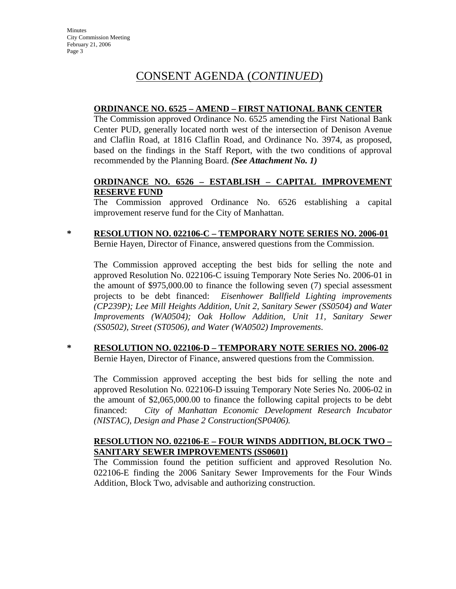# CONSENT AGENDA (*CONTINUED*)

### **ORDINANCE NO. 6525 – AMEND – FIRST NATIONAL BANK CENTER**

The Commission approved Ordinance No. 6525 amending the First National Bank Center PUD, generally located north west of the intersection of Denison Avenue and Claflin Road, at 1816 Claflin Road, and Ordinance No. 3974, as proposed, based on the findings in the Staff Report, with the two conditions of approval recommended by the Planning Board. *(See Attachment No. 1)*

### **ORDINANCE NO. 6526 – ESTABLISH – CAPITAL IMPROVEMENT RESERVE FUND**

The Commission approved Ordinance No. 6526 establishing a capital improvement reserve fund for the City of Manhattan.

**\* RESOLUTION NO. 022106-C – TEMPORARY NOTE SERIES NO. 2006-01** Bernie Hayen, Director of Finance, answered questions from the Commission.

The Commission approved accepting the best bids for selling the note and approved Resolution No. 022106-C issuing Temporary Note Series No. 2006-01 in the amount of \$975,000.00 to finance the following seven (7) special assessment projects to be debt financed: *Eisenhower Ballfield Lighting improvements (CP239P); Lee Mill Heights Addition, Unit 2, Sanitary Sewer (SS0504) and Water Improvements (WA0504); Oak Hollow Addition, Unit 11, Sanitary Sewer (SS0502), Street (ST0506), and Water (WA0502) Improvements*.

**\* RESOLUTION NO. 022106-D – TEMPORARY NOTE SERIES NO. 2006-02** Bernie Hayen, Director of Finance, answered questions from the Commission.

The Commission approved accepting the best bids for selling the note and approved Resolution No. 022106-D issuing Temporary Note Series No. 2006-02 in the amount of \$2,065,000.00 to finance the following capital projects to be debt financed: *City of Manhattan Economic Development Research Incubator (NISTAC), Design and Phase 2 Construction(SP0406).*

### **RESOLUTION NO. 022106-E – FOUR WINDS ADDITION, BLOCK TWO – SANITARY SEWER IMPROVEMENTS (SS0601)**

The Commission found the petition sufficient and approved Resolution No. 022106-E finding the 2006 Sanitary Sewer Improvements for the Four Winds Addition, Block Two, advisable and authorizing construction.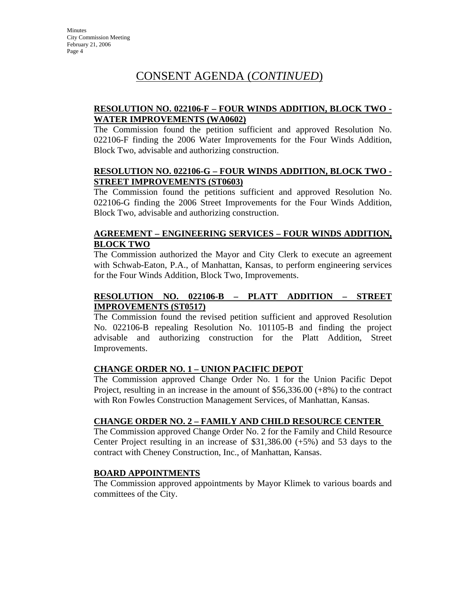# CONSENT AGENDA (*CONTINUED*)

### **RESOLUTION NO. 022106-F – FOUR WINDS ADDITION, BLOCK TWO - WATER IMPROVEMENTS (WA0602)**

The Commission found the petition sufficient and approved Resolution No. 022106-F finding the 2006 Water Improvements for the Four Winds Addition, Block Two, advisable and authorizing construction.

### **RESOLUTION NO. 022106-G – FOUR WINDS ADDITION, BLOCK TWO - STREET IMPROVEMENTS (ST0603)**

The Commission found the petitions sufficient and approved Resolution No. 022106-G finding the 2006 Street Improvements for the Four Winds Addition, Block Two, advisable and authorizing construction.

## **AGREEMENT – ENGINEERING SERVICES – FOUR WINDS ADDITION, BLOCK TWO**

The Commission authorized the Mayor and City Clerk to execute an agreement with Schwab-Eaton, P.A., of Manhattan, Kansas, to perform engineering services for the Four Winds Addition, Block Two, Improvements.

### **RESOLUTION NO. 022106-B – PLATT ADDITION – STREET IMPROVEMENTS (ST0517)**

The Commission found the revised petition sufficient and approved Resolution No. 022106-B repealing Resolution No. 101105-B and finding the project advisable and authorizing construction for the Platt Addition, Street Improvements.

### **CHANGE ORDER NO. 1 – UNION PACIFIC DEPOT**

The Commission approved Change Order No. 1 for the Union Pacific Depot Project, resulting in an increase in the amount of \$56,336.00 (+8%) to the contract with Ron Fowles Construction Management Services, of Manhattan, Kansas.

### **CHANGE ORDER NO. 2 – FAMILY AND CHILD RESOURCE CENTER**

The Commission approved Change Order No. 2 for the Family and Child Resource Center Project resulting in an increase of \$31,386.00 (+5%) and 53 days to the contract with Cheney Construction, Inc., of Manhattan, Kansas.

### **BOARD APPOINTMENTS**

The Commission approved appointments by Mayor Klimek to various boards and committees of the City.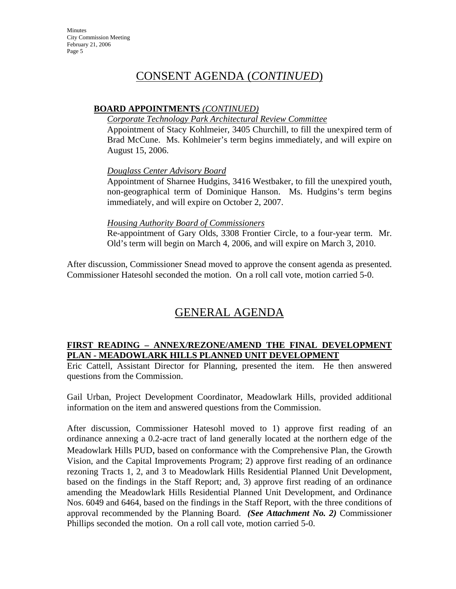## CONSENT AGENDA (*CONTINUED*)

### **BOARD APPOINTMENTS** *(CONTINUED)*

### *Corporate Technology Park Architectural Review Committee*

Appointment of Stacy Kohlmeier, 3405 Churchill, to fill the unexpired term of Brad McCune. Ms. Kohlmeier's term begins immediately, and will expire on August 15, 2006.

### *Douglass Center Advisory Board*

Appointment of Sharnee Hudgins, 3416 Westbaker, to fill the unexpired youth, non-geographical term of Dominique Hanson. Ms. Hudgins's term begins immediately, and will expire on October 2, 2007.

### *Housing Authority Board of Commissioners*

Re-appointment of Gary Olds, 3308 Frontier Circle, to a four-year term. Mr. Old's term will begin on March 4, 2006, and will expire on March 3, 2010.

After discussion, Commissioner Snead moved to approve the consent agenda as presented. Commissioner Hatesohl seconded the motion. On a roll call vote, motion carried 5-0.

# GENERAL AGENDA

### **FIRST READING – ANNEX/REZONE/AMEND THE FINAL DEVELOPMENT PLAN - MEADOWLARK HILLS PLANNED UNIT DEVELOPMENT**

Eric Cattell, Assistant Director for Planning, presented the item. He then answered questions from the Commission.

Gail Urban, Project Development Coordinator, Meadowlark Hills, provided additional information on the item and answered questions from the Commission.

After discussion, Commissioner Hatesohl moved to 1) approve first reading of an ordinance annexing a 0.2-acre tract of land generally located at the northern edge of the Meadowlark Hills PUD, based on conformance with the Comprehensive Plan, the Growth Vision, and the Capital Improvements Program; 2) approve first reading of an ordinance rezoning Tracts 1, 2, and 3 to Meadowlark Hills Residential Planned Unit Development, based on the findings in the Staff Report; and, 3) approve first reading of an ordinance amending the Meadowlark Hills Residential Planned Unit Development, and Ordinance Nos. 6049 and 6464, based on the findings in the Staff Report, with the three conditions of approval recommended by the Planning Board. *(See Attachment No. 2)* Commissioner Phillips seconded the motion. On a roll call vote, motion carried 5-0.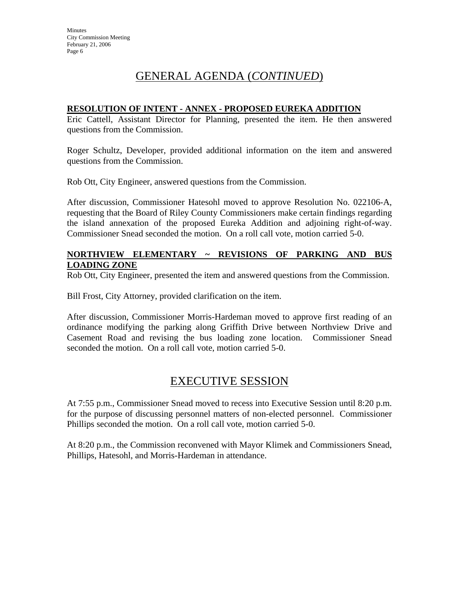# GENERAL AGENDA (*CONTINUED*)

### **RESOLUTION OF INTENT - ANNEX - PROPOSED EUREKA ADDITION**

Eric Cattell, Assistant Director for Planning, presented the item. He then answered questions from the Commission.

Roger Schultz, Developer, provided additional information on the item and answered questions from the Commission.

Rob Ott, City Engineer, answered questions from the Commission.

After discussion, Commissioner Hatesohl moved to approve Resolution No. 022106-A, requesting that the Board of Riley County Commissioners make certain findings regarding the island annexation of the proposed Eureka Addition and adjoining right-of-way. Commissioner Snead seconded the motion. On a roll call vote, motion carried 5-0.

### **NORTHVIEW ELEMENTARY ~ REVISIONS OF PARKING AND BUS LOADING ZONE**

Rob Ott, City Engineer, presented the item and answered questions from the Commission.

Bill Frost, City Attorney, provided clarification on the item.

After discussion, Commissioner Morris-Hardeman moved to approve first reading of an ordinance modifying the parking along Griffith Drive between Northview Drive and Casement Road and revising the bus loading zone location. Commissioner Snead seconded the motion. On a roll call vote, motion carried 5-0.

# EXECUTIVE SESSION

At 7:55 p.m., Commissioner Snead moved to recess into Executive Session until 8:20 p.m. for the purpose of discussing personnel matters of non-elected personnel. Commissioner Phillips seconded the motion. On a roll call vote, motion carried 5-0.

At 8:20 p.m., the Commission reconvened with Mayor Klimek and Commissioners Snead, Phillips, Hatesohl, and Morris-Hardeman in attendance.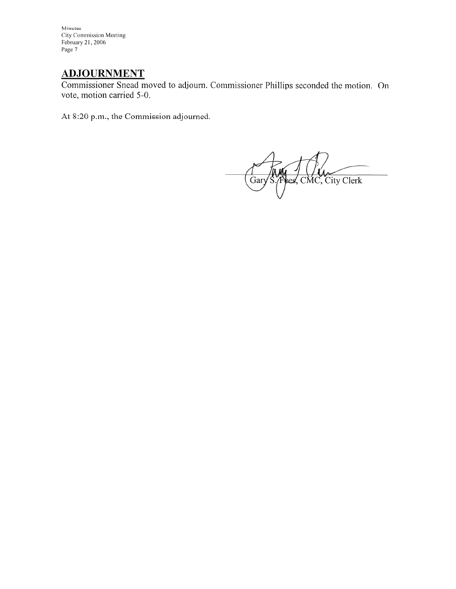# **ADJOURNMENT**

Commissioner Snead moved to adjourn. Commissioner Phillips seconded the motion. On vote, motion carried 5-0.

At 8:20 p.m., the Commission adjourned.

Res. CMC, City Clerk  $\frac{1}{1}$  Gary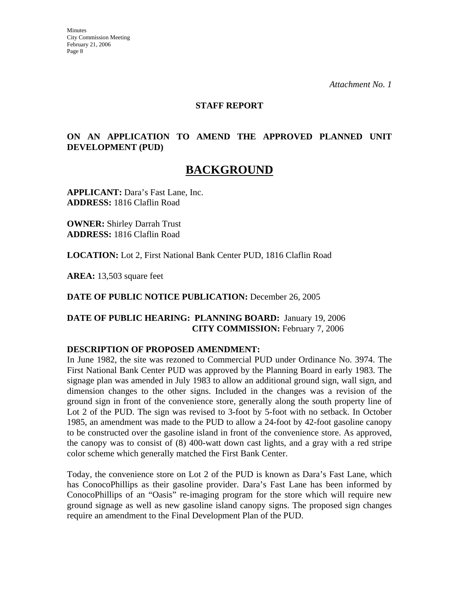*Attachment No. 1* 

### **STAFF REPORT**

### **ON AN APPLICATION TO AMEND THE APPROVED PLANNED UNIT DEVELOPMENT (PUD)**

# **BACKGROUND**

**APPLICANT:** Dara's Fast Lane, Inc. **ADDRESS:** 1816 Claflin Road

**OWNER:** Shirley Darrah Trust **ADDRESS:** 1816 Claflin Road

**LOCATION:** Lot 2, First National Bank Center PUD, 1816 Claflin Road

**AREA:** 13,503 square feet

**DATE OF PUBLIC NOTICE PUBLICATION:** December 26, 2005

**DATE OF PUBLIC HEARING: PLANNING BOARD:** January 19, 2006 **CITY COMMISSION:** February 7, 2006

### **DESCRIPTION OF PROPOSED AMENDMENT:**

In June 1982, the site was rezoned to Commercial PUD under Ordinance No. 3974. The First National Bank Center PUD was approved by the Planning Board in early 1983. The signage plan was amended in July 1983 to allow an additional ground sign, wall sign, and dimension changes to the other signs. Included in the changes was a revision of the ground sign in front of the convenience store, generally along the south property line of Lot 2 of the PUD. The sign was revised to 3-foot by 5-foot with no setback. In October 1985, an amendment was made to the PUD to allow a 24-foot by 42-foot gasoline canopy to be constructed over the gasoline island in front of the convenience store. As approved, the canopy was to consist of (8) 400-watt down cast lights, and a gray with a red stripe color scheme which generally matched the First Bank Center.

Today, the convenience store on Lot 2 of the PUD is known as Dara's Fast Lane, which has ConocoPhillips as their gasoline provider. Dara's Fast Lane has been informed by ConocoPhillips of an "Oasis" re-imaging program for the store which will require new ground signage as well as new gasoline island canopy signs. The proposed sign changes require an amendment to the Final Development Plan of the PUD.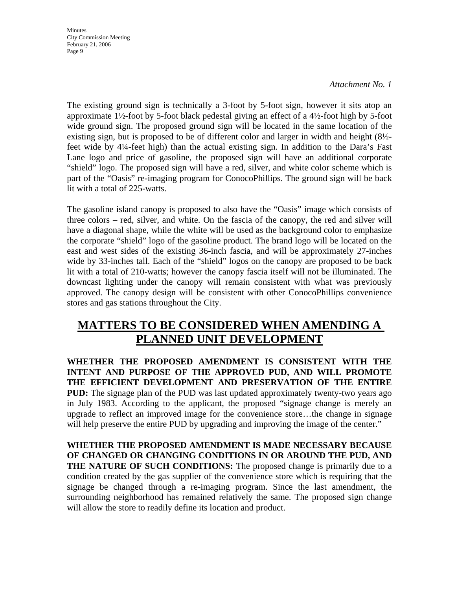#### *Attachment No. 1*

The existing ground sign is technically a 3-foot by 5-foot sign, however it sits atop an approximate 1½-foot by 5-foot black pedestal giving an effect of a 4½-foot high by 5-foot wide ground sign. The proposed ground sign will be located in the same location of the existing sign, but is proposed to be of different color and larger in width and height (8½ feet wide by 4¼-feet high) than the actual existing sign. In addition to the Dara's Fast Lane logo and price of gasoline, the proposed sign will have an additional corporate "shield" logo. The proposed sign will have a red, silver, and white color scheme which is part of the "Oasis" re-imaging program for ConocoPhillips. The ground sign will be back lit with a total of 225-watts.

The gasoline island canopy is proposed to also have the "Oasis" image which consists of three colors – red, silver, and white. On the fascia of the canopy, the red and silver will have a diagonal shape, while the white will be used as the background color to emphasize the corporate "shield" logo of the gasoline product. The brand logo will be located on the east and west sides of the existing 36-inch fascia, and will be approximately 27-inches wide by 33-inches tall. Each of the "shield" logos on the canopy are proposed to be back lit with a total of 210-watts; however the canopy fascia itself will not be illuminated. The downcast lighting under the canopy will remain consistent with what was previously approved. The canopy design will be consistent with other ConocoPhillips convenience stores and gas stations throughout the City.

# **MATTERS TO BE CONSIDERED WHEN AMENDING A PLANNED UNIT DEVELOPMENT**

**WHETHER THE PROPOSED AMENDMENT IS CONSISTENT WITH THE INTENT AND PURPOSE OF THE APPROVED PUD, AND WILL PROMOTE THE EFFICIENT DEVELOPMENT AND PRESERVATION OF THE ENTIRE PUD:** The signage plan of the PUD was last updated approximately twenty-two years ago in July 1983. According to the applicant, the proposed "signage change is merely an upgrade to reflect an improved image for the convenience store…the change in signage will help preserve the entire PUD by upgrading and improving the image of the center."

**WHETHER THE PROPOSED AMENDMENT IS MADE NECESSARY BECAUSE OF CHANGED OR CHANGING CONDITIONS IN OR AROUND THE PUD, AND THE NATURE OF SUCH CONDITIONS:** The proposed change is primarily due to a condition created by the gas supplier of the convenience store which is requiring that the signage be changed through a re-imaging program. Since the last amendment, the surrounding neighborhood has remained relatively the same. The proposed sign change will allow the store to readily define its location and product.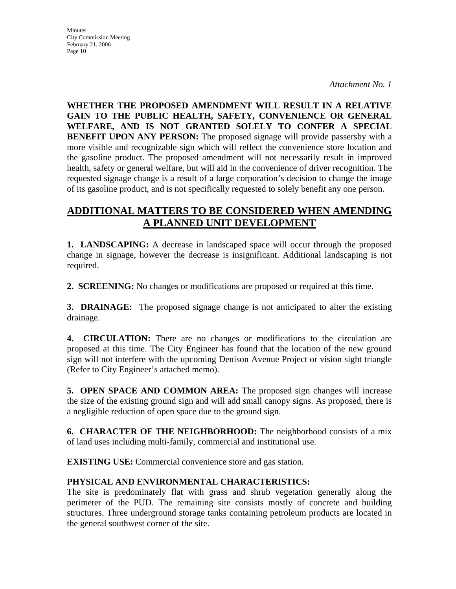*Attachment No. 1* 

**WHETHER THE PROPOSED AMENDMENT WILL RESULT IN A RELATIVE GAIN TO THE PUBLIC HEALTH, SAFETY, CONVENIENCE OR GENERAL WELFARE, AND IS NOT GRANTED SOLELY TO CONFER A SPECIAL BENEFIT UPON ANY PERSON:** The proposed signage will provide passersby with a more visible and recognizable sign which will reflect the convenience store location and the gasoline product. The proposed amendment will not necessarily result in improved health, safety or general welfare, but will aid in the convenience of driver recognition. The requested signage change is a result of a large corporation's decision to change the image of its gasoline product, and is not specifically requested to solely benefit any one person.

## **ADDITIONAL MATTERS TO BE CONSIDERED WHEN AMENDING A PLANNED UNIT DEVELOPMENT**

**1. LANDSCAPING:** A decrease in landscaped space will occur through the proposed change in signage, however the decrease is insignificant. Additional landscaping is not required.

**2. SCREENING:** No changes or modifications are proposed or required at this time.

**3. DRAINAGE:** The proposed signage change is not anticipated to alter the existing drainage.

**4. CIRCULATION:** There are no changes or modifications to the circulation are proposed at this time. The City Engineer has found that the location of the new ground sign will not interfere with the upcoming Denison Avenue Project or vision sight triangle (Refer to City Engineer's attached memo).

**5. OPEN SPACE AND COMMON AREA:** The proposed sign changes will increase the size of the existing ground sign and will add small canopy signs. As proposed, there is a negligible reduction of open space due to the ground sign.

**6. CHARACTER OF THE NEIGHBORHOOD:** The neighborhood consists of a mix of land uses including multi-family, commercial and institutional use.

**EXISTING USE:** Commercial convenience store and gas station.

## **PHYSICAL AND ENVIRONMENTAL CHARACTERISTICS:**

The site is predominately flat with grass and shrub vegetation generally along the perimeter of the PUD. The remaining site consists mostly of concrete and building structures. Three underground storage tanks containing petroleum products are located in the general southwest corner of the site.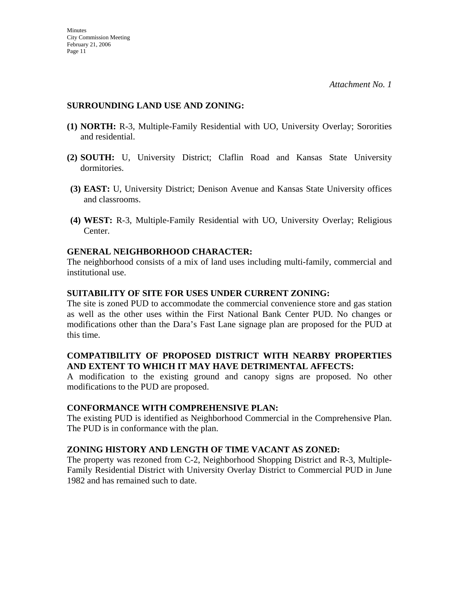### **SURROUNDING LAND USE AND ZONING:**

- **(1) NORTH:** R-3, Multiple-Family Residential with UO, University Overlay; Sororities and residential.
- **(2) SOUTH:** U, University District; Claflin Road and Kansas State University dormitories.
- **(3) EAST:** U, University District; Denison Avenue and Kansas State University offices and classrooms.
- **(4) WEST:** R-3, Multiple-Family Residential with UO, University Overlay; Religious Center.

### **GENERAL NEIGHBORHOOD CHARACTER:**

The neighborhood consists of a mix of land uses including multi-family, commercial and institutional use.

### **SUITABILITY OF SITE FOR USES UNDER CURRENT ZONING:**

The site is zoned PUD to accommodate the commercial convenience store and gas station as well as the other uses within the First National Bank Center PUD. No changes or modifications other than the Dara's Fast Lane signage plan are proposed for the PUD at this time.

### **COMPATIBILITY OF PROPOSED DISTRICT WITH NEARBY PROPERTIES AND EXTENT TO WHICH IT MAY HAVE DETRIMENTAL AFFECTS:**

A modification to the existing ground and canopy signs are proposed. No other modifications to the PUD are proposed.

### **CONFORMANCE WITH COMPREHENSIVE PLAN:**

The existing PUD is identified as Neighborhood Commercial in the Comprehensive Plan. The PUD is in conformance with the plan.

### **ZONING HISTORY AND LENGTH OF TIME VACANT AS ZONED:**

The property was rezoned from C-2, Neighborhood Shopping District and R-3, Multiple-Family Residential District with University Overlay District to Commercial PUD in June 1982 and has remained such to date.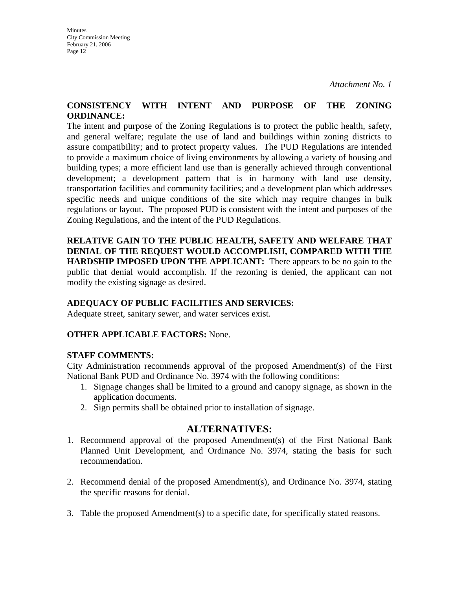### **CONSISTENCY WITH INTENT AND PURPOSE OF THE ZONING ORDINANCE:**

The intent and purpose of the Zoning Regulations is to protect the public health, safety, and general welfare; regulate the use of land and buildings within zoning districts to assure compatibility; and to protect property values. The PUD Regulations are intended to provide a maximum choice of living environments by allowing a variety of housing and building types; a more efficient land use than is generally achieved through conventional development; a development pattern that is in harmony with land use density, transportation facilities and community facilities; and a development plan which addresses specific needs and unique conditions of the site which may require changes in bulk regulations or layout. The proposed PUD is consistent with the intent and purposes of the Zoning Regulations, and the intent of the PUD Regulations.

**RELATIVE GAIN TO THE PUBLIC HEALTH, SAFETY AND WELFARE THAT DENIAL OF THE REQUEST WOULD ACCOMPLISH, COMPARED WITH THE HARDSHIP IMPOSED UPON THE APPLICANT:** There appears to be no gain to the public that denial would accomplish. If the rezoning is denied, the applicant can not modify the existing signage as desired.

## **ADEQUACY OF PUBLIC FACILITIES AND SERVICES:**

Adequate street, sanitary sewer, and water services exist.

### **OTHER APPLICABLE FACTORS:** None.

### **STAFF COMMENTS:**

City Administration recommends approval of the proposed Amendment(s) of the First National Bank PUD and Ordinance No. 3974 with the following conditions:

- 1. Signage changes shall be limited to a ground and canopy signage, as shown in the application documents.
- 2. Sign permits shall be obtained prior to installation of signage.

## **ALTERNATIVES:**

- 1. Recommend approval of the proposed Amendment(s) of the First National Bank Planned Unit Development, and Ordinance No. 3974, stating the basis for such recommendation.
- 2. Recommend denial of the proposed Amendment(s), and Ordinance No. 3974, stating the specific reasons for denial.
- 3. Table the proposed Amendment(s) to a specific date, for specifically stated reasons.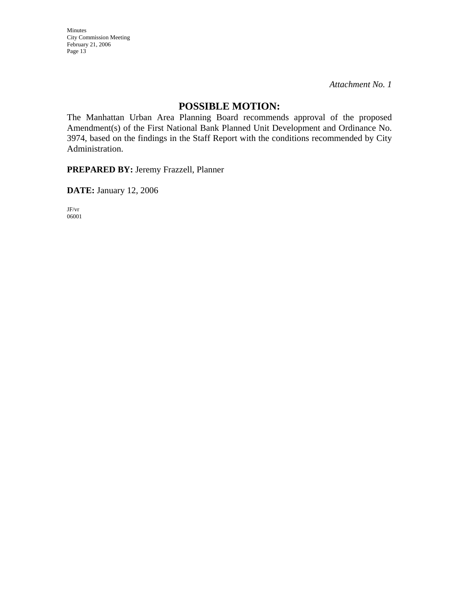*Attachment No. 1* 

## **POSSIBLE MOTION:**

The Manhattan Urban Area Planning Board recommends approval of the proposed Amendment(s) of the First National Bank Planned Unit Development and Ordinance No. 3974, based on the findings in the Staff Report with the conditions recommended by City Administration.

**PREPARED BY:** Jeremy Frazzell, Planner

**DATE:** January 12, 2006

JF/vr 06001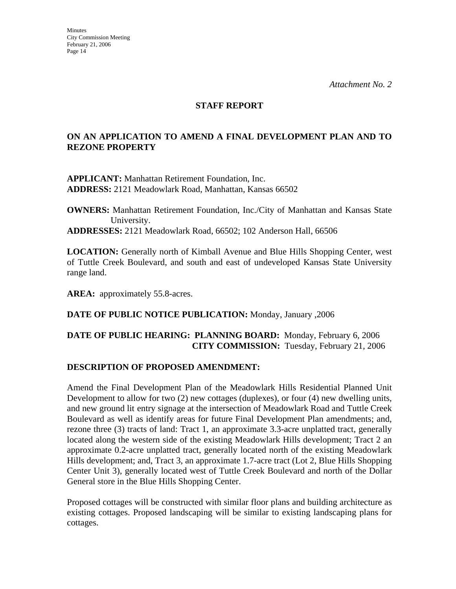### **STAFF REPORT**

### **ON AN APPLICATION TO AMEND A FINAL DEVELOPMENT PLAN AND TO REZONE PROPERTY**

**APPLICANT:** Manhattan Retirement Foundation, Inc. **ADDRESS:** 2121 Meadowlark Road, Manhattan, Kansas 66502

**OWNERS:** Manhattan Retirement Foundation, Inc./City of Manhattan and Kansas State University. **ADDRESSES:** 2121 Meadowlark Road, 66502; 102 Anderson Hall, 66506

**LOCATION:** Generally north of Kimball Avenue and Blue Hills Shopping Center, west of Tuttle Creek Boulevard, and south and east of undeveloped Kansas State University range land.

AREA: approximately 55.8-acres.

### **DATE OF PUBLIC NOTICE PUBLICATION:** Monday, January ,2006

### **DATE OF PUBLIC HEARING: PLANNING BOARD:** Monday, February 6, 2006 **CITY COMMISSION:** Tuesday, February 21, 2006

### **DESCRIPTION OF PROPOSED AMENDMENT:**

Amend the Final Development Plan of the Meadowlark Hills Residential Planned Unit Development to allow for two (2) new cottages (duplexes), or four (4) new dwelling units, and new ground lit entry signage at the intersection of Meadowlark Road and Tuttle Creek Boulevard as well as identify areas for future Final Development Plan amendments; and, rezone three (3) tracts of land: Tract 1, an approximate 3.3-acre unplatted tract, generally located along the western side of the existing Meadowlark Hills development; Tract 2 an approximate 0.2-acre unplatted tract, generally located north of the existing Meadowlark Hills development; and, Tract 3, an approximate 1.7-acre tract (Lot 2, Blue Hills Shopping Center Unit 3), generally located west of Tuttle Creek Boulevard and north of the Dollar General store in the Blue Hills Shopping Center.

Proposed cottages will be constructed with similar floor plans and building architecture as existing cottages. Proposed landscaping will be similar to existing landscaping plans for cottages.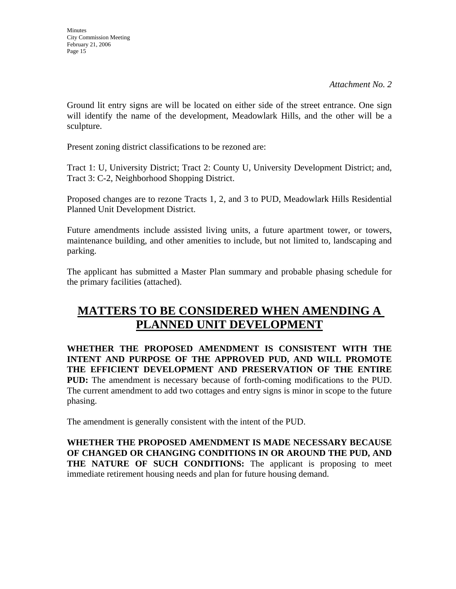**Minutes** City Commission Meeting February 21, 2006 Page 15

Ground lit entry signs are will be located on either side of the street entrance. One sign will identify the name of the development, Meadowlark Hills, and the other will be a sculpture.

Present zoning district classifications to be rezoned are:

Tract 1: U, University District; Tract 2: County U, University Development District; and, Tract 3: C-2, Neighborhood Shopping District.

Proposed changes are to rezone Tracts 1, 2, and 3 to PUD, Meadowlark Hills Residential Planned Unit Development District.

Future amendments include assisted living units, a future apartment tower, or towers, maintenance building, and other amenities to include, but not limited to, landscaping and parking.

The applicant has submitted a Master Plan summary and probable phasing schedule for the primary facilities (attached).

# **MATTERS TO BE CONSIDERED WHEN AMENDING A PLANNED UNIT DEVELOPMENT**

**WHETHER THE PROPOSED AMENDMENT IS CONSISTENT WITH THE INTENT AND PURPOSE OF THE APPROVED PUD, AND WILL PROMOTE THE EFFICIENT DEVELOPMENT AND PRESERVATION OF THE ENTIRE PUD:** The amendment is necessary because of forth-coming modifications to the PUD. The current amendment to add two cottages and entry signs is minor in scope to the future phasing.

The amendment is generally consistent with the intent of the PUD.

**WHETHER THE PROPOSED AMENDMENT IS MADE NECESSARY BECAUSE OF CHANGED OR CHANGING CONDITIONS IN OR AROUND THE PUD, AND THE NATURE OF SUCH CONDITIONS:** The applicant is proposing to meet immediate retirement housing needs and plan for future housing demand.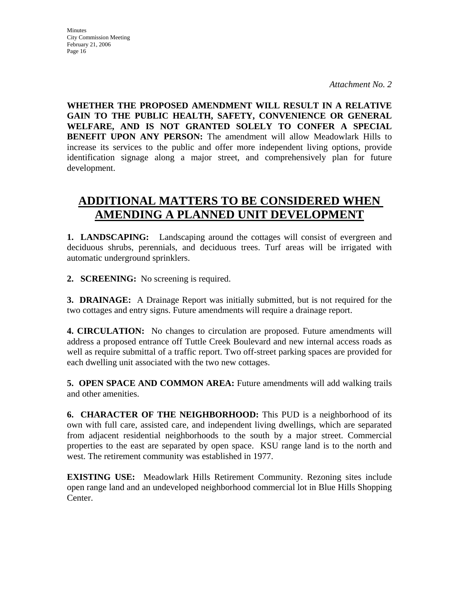*Attachment No. 2* 

**WHETHER THE PROPOSED AMENDMENT WILL RESULT IN A RELATIVE GAIN TO THE PUBLIC HEALTH, SAFETY, CONVENIENCE OR GENERAL WELFARE, AND IS NOT GRANTED SOLELY TO CONFER A SPECIAL BENEFIT UPON ANY PERSON:** The amendment will allow Meadowlark Hills to increase its services to the public and offer more independent living options, provide identification signage along a major street, and comprehensively plan for future development.

# **ADDITIONAL MATTERS TO BE CONSIDERED WHEN AMENDING A PLANNED UNIT DEVELOPMENT**

**1. LANDSCAPING:** Landscaping around the cottages will consist of evergreen and deciduous shrubs, perennials, and deciduous trees. Turf areas will be irrigated with automatic underground sprinklers.

**2. SCREENING:** No screening is required.

**3. DRAINAGE:** A Drainage Report was initially submitted, but is not required for the two cottages and entry signs. Future amendments will require a drainage report.

**4. CIRCULATION:** No changes to circulation are proposed. Future amendments will address a proposed entrance off Tuttle Creek Boulevard and new internal access roads as well as require submittal of a traffic report. Two off-street parking spaces are provided for each dwelling unit associated with the two new cottages.

**5. OPEN SPACE AND COMMON AREA:** Future amendments will add walking trails and other amenities.

**6. CHARACTER OF THE NEIGHBORHOOD:** This PUD is a neighborhood of its own with full care, assisted care, and independent living dwellings, which are separated from adjacent residential neighborhoods to the south by a major street. Commercial properties to the east are separated by open space. KSU range land is to the north and west. The retirement community was established in 1977.

**EXISTING USE:** Meadowlark Hills Retirement Community. Rezoning sites include open range land and an undeveloped neighborhood commercial lot in Blue Hills Shopping Center.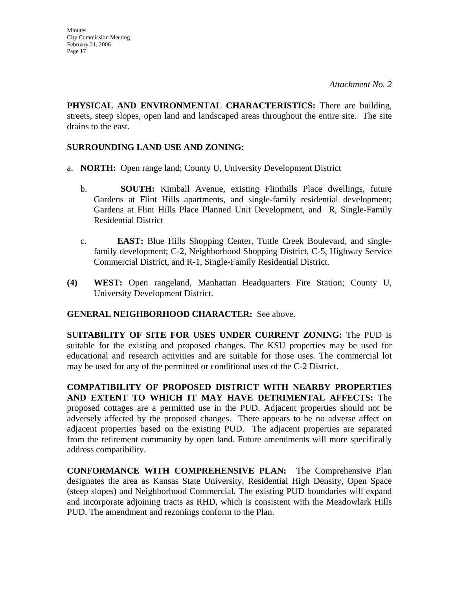**PHYSICAL AND ENVIRONMENTAL CHARACTERISTICS:** There are building, streets, steep slopes, open land and landscaped areas throughout the entire site. The site drains to the east.

### **SURROUNDING LAND USE AND ZONING:**

- a. **NORTH:** Open range land; County U, University Development District
	- b. **SOUTH:** Kimball Avenue, existing Flinthills Place dwellings, future Gardens at Flint Hills apartments, and single-family residential development; Gardens at Flint Hills Place Planned Unit Development, and R, Single-Family Residential District
	- c. **EAST:** Blue Hills Shopping Center, Tuttle Creek Boulevard, and singlefamily development; C-2, Neighborhood Shopping District, C-5, Highway Service Commercial District, and R-1, Single-Family Residential District.
- **(4) WEST:** Open rangeland, Manhattan Headquarters Fire Station; County U, University Development District.

### **GENERAL NEIGHBORHOOD CHARACTER:** See above.

**SUITABILITY OF SITE FOR USES UNDER CURRENT ZONING:** The PUD is suitable for the existing and proposed changes. The KSU properties may be used for educational and research activities and are suitable for those uses. The commercial lot may be used for any of the permitted or conditional uses of the C-2 District.

**COMPATIBILITY OF PROPOSED DISTRICT WITH NEARBY PROPERTIES AND EXTENT TO WHICH IT MAY HAVE DETRIMENTAL AFFECTS:** The proposed cottages are a permitted use in the PUD. Adjacent properties should not be adversely affected by the proposed changes. There appears to be no adverse affect on adjacent properties based on the existing PUD. The adjacent properties are separated from the retirement community by open land. Future amendments will more specifically address compatibility.

**CONFORMANCE WITH COMPREHENSIVE PLAN:** The Comprehensive Plan designates the area as Kansas State University, Residential High Density, Open Space (steep slopes) and Neighborhood Commercial. The existing PUD boundaries will expand and incorporate adjoining tracts as RHD, which is consistent with the Meadowlark Hills PUD. The amendment and rezonings conform to the Plan.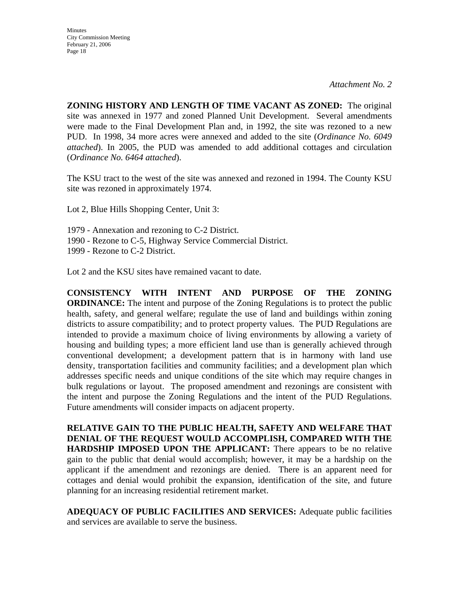*Attachment No. 2* 

**ZONING HISTORY AND LENGTH OF TIME VACANT AS ZONED:** The original site was annexed in 1977 and zoned Planned Unit Development. Several amendments were made to the Final Development Plan and, in 1992, the site was rezoned to a new PUD. In 1998, 34 more acres were annexed and added to the site (*Ordinance No. 6049 attached*). In 2005, the PUD was amended to add additional cottages and circulation (*Ordinance No. 6464 attached*).

The KSU tract to the west of the site was annexed and rezoned in 1994. The County KSU site was rezoned in approximately 1974.

Lot 2, Blue Hills Shopping Center, Unit 3:

- 1979 Annexation and rezoning to C-2 District.
- 1990 Rezone to C-5, Highway Service Commercial District.
- 1999 Rezone to C-2 District.

Lot 2 and the KSU sites have remained vacant to date.

**CONSISTENCY WITH INTENT AND PURPOSE OF THE ZONING ORDINANCE:** The intent and purpose of the Zoning Regulations is to protect the public health, safety, and general welfare; regulate the use of land and buildings within zoning districts to assure compatibility; and to protect property values. The PUD Regulations are intended to provide a maximum choice of living environments by allowing a variety of housing and building types; a more efficient land use than is generally achieved through conventional development; a development pattern that is in harmony with land use density, transportation facilities and community facilities; and a development plan which addresses specific needs and unique conditions of the site which may require changes in bulk regulations or layout. The proposed amendment and rezonings are consistent with the intent and purpose the Zoning Regulations and the intent of the PUD Regulations. Future amendments will consider impacts on adjacent property.

**RELATIVE GAIN TO THE PUBLIC HEALTH, SAFETY AND WELFARE THAT DENIAL OF THE REQUEST WOULD ACCOMPLISH, COMPARED WITH THE HARDSHIP IMPOSED UPON THE APPLICANT:** There appears to be no relative gain to the public that denial would accomplish; however, it may be a hardship on the applicant if the amendment and rezonings are denied. There is an apparent need for cottages and denial would prohibit the expansion, identification of the site, and future planning for an increasing residential retirement market.

**ADEQUACY OF PUBLIC FACILITIES AND SERVICES:** Adequate public facilities and services are available to serve the business.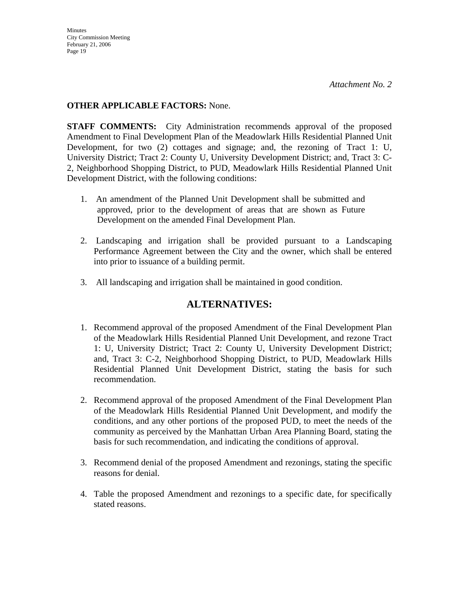### **OTHER APPLICABLE FACTORS:** None.

**STAFF COMMENTS:** City Administration recommends approval of the proposed Amendment to Final Development Plan of the Meadowlark Hills Residential Planned Unit Development, for two (2) cottages and signage; and, the rezoning of Tract 1: U, University District; Tract 2: County U, University Development District; and, Tract 3: C-2, Neighborhood Shopping District, to PUD, Meadowlark Hills Residential Planned Unit Development District, with the following conditions:

- 1. An amendment of the Planned Unit Development shall be submitted and approved, prior to the development of areas that are shown as Future Development on the amended Final Development Plan.
- 2. Landscaping and irrigation shall be provided pursuant to a Landscaping Performance Agreement between the City and the owner, which shall be entered into prior to issuance of a building permit.
- 3. All landscaping and irrigation shall be maintained in good condition.

## **ALTERNATIVES:**

- 1. Recommend approval of the proposed Amendment of the Final Development Plan of the Meadowlark Hills Residential Planned Unit Development, and rezone Tract 1: U, University District; Tract 2: County U, University Development District; and, Tract 3: C-2, Neighborhood Shopping District, to PUD, Meadowlark Hills Residential Planned Unit Development District, stating the basis for such recommendation.
- 2. Recommend approval of the proposed Amendment of the Final Development Plan of the Meadowlark Hills Residential Planned Unit Development, and modify the conditions, and any other portions of the proposed PUD, to meet the needs of the community as perceived by the Manhattan Urban Area Planning Board, stating the basis for such recommendation, and indicating the conditions of approval.
- 3. Recommend denial of the proposed Amendment and rezonings, stating the specific reasons for denial.
- 4. Table the proposed Amendment and rezonings to a specific date, for specifically stated reasons.